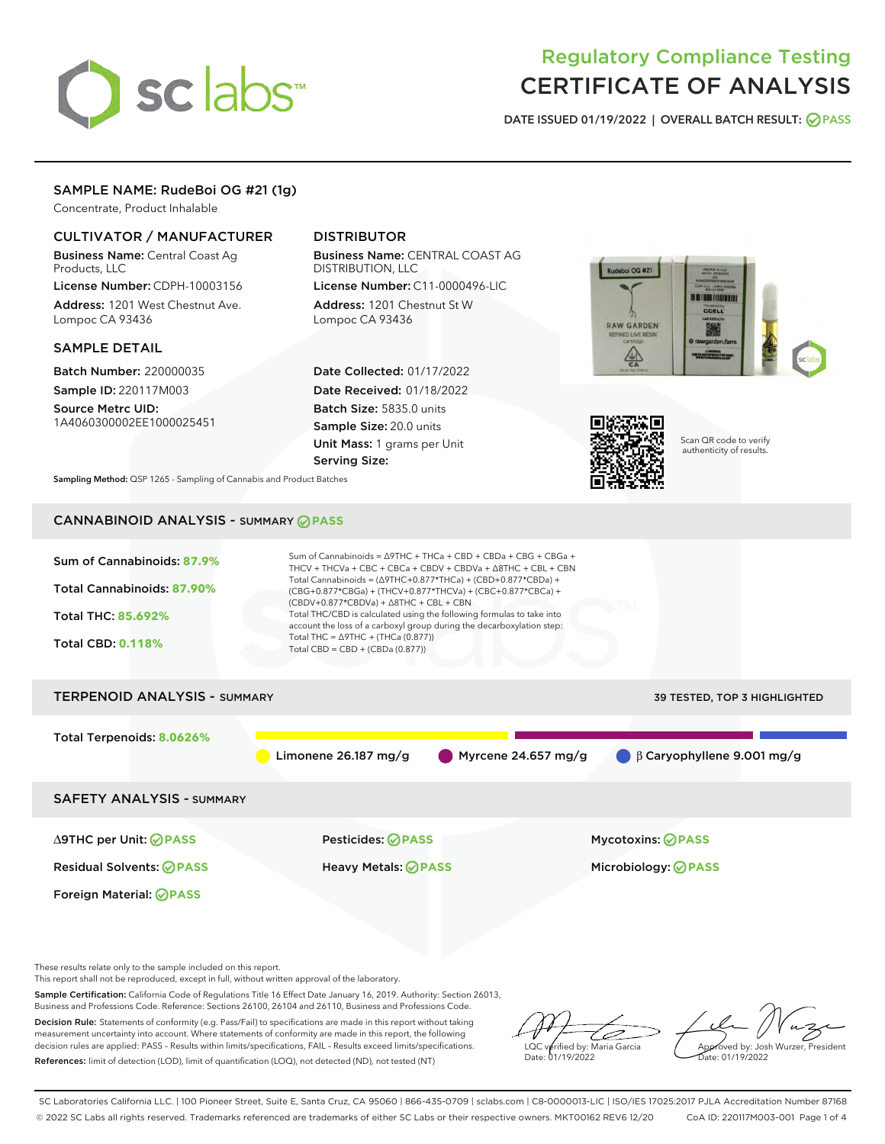# sclabs<sup>\*</sup>

# Regulatory Compliance Testing CERTIFICATE OF ANALYSIS

DATE ISSUED 01/19/2022 | OVERALL BATCH RESULT: @ PASS

# SAMPLE NAME: RudeBoi OG #21 (1g)

Concentrate, Product Inhalable

# CULTIVATOR / MANUFACTURER

Business Name: Central Coast Ag Products, LLC

License Number: CDPH-10003156 Address: 1201 West Chestnut Ave. Lompoc CA 93436

#### SAMPLE DETAIL

Batch Number: 220000035 Sample ID: 220117M003

Source Metrc UID: 1A4060300002EE1000025451

# DISTRIBUTOR

Business Name: CENTRAL COAST AG DISTRIBUTION, LLC License Number: C11-0000496-LIC

Address: 1201 Chestnut St W Lompoc CA 93436

Date Collected: 01/17/2022 Date Received: 01/18/2022 Batch Size: 5835.0 units Sample Size: 20.0 units Unit Mass: 1 grams per Unit Serving Size:





Scan QR code to verify authenticity of results.

Sampling Method: QSP 1265 - Sampling of Cannabis and Product Batches

# CANNABINOID ANALYSIS - SUMMARY **PASS**



This report shall not be reproduced, except in full, without written approval of the laboratory.

Sample Certification: California Code of Regulations Title 16 Effect Date January 16, 2019. Authority: Section 26013, Business and Professions Code. Reference: Sections 26100, 26104 and 26110, Business and Professions Code.

Decision Rule: Statements of conformity (e.g. Pass/Fail) to specifications are made in this report without taking measurement uncertainty into account. Where statements of conformity are made in this report, the following decision rules are applied: PASS – Results within limits/specifications, FAIL – Results exceed limits/specifications. References: limit of detection (LOD), limit of quantification (LOQ), not detected (ND), not tested (NT)

D LQC verified by: Maria Garcia Date: 01/19/2022

Approved by: Josh Wurzer, President ate: 01/19/2022

SC Laboratories California LLC. | 100 Pioneer Street, Suite E, Santa Cruz, CA 95060 | 866-435-0709 | sclabs.com | C8-0000013-LIC | ISO/IES 17025:2017 PJLA Accreditation Number 87168 © 2022 SC Labs all rights reserved. Trademarks referenced are trademarks of either SC Labs or their respective owners. MKT00162 REV6 12/20 CoA ID: 220117M003-001 Page 1 of 4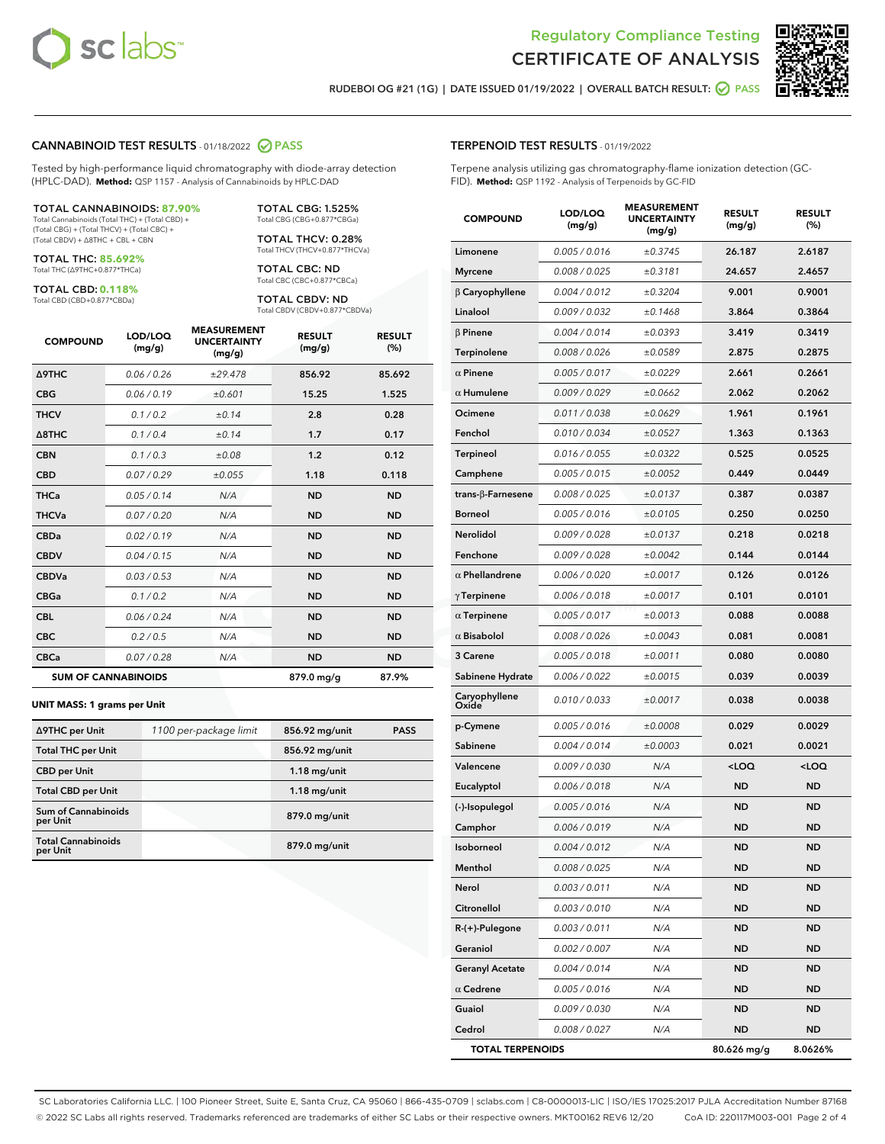



RUDEBOI OG #21 (1G) | DATE ISSUED 01/19/2022 | OVERALL BATCH RESULT: **● PASS** 

#### CANNABINOID TEST RESULTS - 01/18/2022 2 PASS

Tested by high-performance liquid chromatography with diode-array detection (HPLC-DAD). **Method:** QSP 1157 - Analysis of Cannabinoids by HPLC-DAD

#### TOTAL CANNABINOIDS: **87.90%**

Total Cannabinoids (Total THC) + (Total CBD) + (Total CBG) + (Total THCV) + (Total CBC) + (Total CBDV) + ∆8THC + CBL + CBN

TOTAL THC: **85.692%** Total THC (∆9THC+0.877\*THCa)

TOTAL CBD: **0.118%**

Total CBD (CBD+0.877\*CBDa)

TOTAL CBG: 1.525% Total CBG (CBG+0.877\*CBGa)

TOTAL THCV: 0.28% Total THCV (THCV+0.877\*THCVa)

TOTAL CBC: ND Total CBC (CBC+0.877\*CBCa)

TOTAL CBDV: ND Total CBDV (CBDV+0.877\*CBDVa)

| <b>COMPOUND</b>            | LOD/LOQ<br>(mg/g) | <b>MEASUREMENT</b><br><b>UNCERTAINTY</b><br>(mg/g) | <b>RESULT</b><br>(mg/g) | <b>RESULT</b><br>(%) |
|----------------------------|-------------------|----------------------------------------------------|-------------------------|----------------------|
| Δ9THC                      | 0.06 / 0.26       | ±29.478                                            | 856.92                  | 85.692               |
| <b>CBG</b>                 | 0.06/0.19         | ±0.601                                             | 15.25                   | 1.525                |
| <b>THCV</b>                | 0.1/0.2           | ±0.14                                              | 2.8                     | 0.28                 |
| $\triangle$ 8THC           | 0.1/0.4           | ±0.14                                              | 1.7                     | 0.17                 |
| <b>CBN</b>                 | 0.1/0.3           | ±0.08                                              | 1.2                     | 0.12                 |
| <b>CBD</b>                 | 0.07/0.29         | ±0.055                                             | 1.18                    | 0.118                |
| <b>THCa</b>                | 0.05/0.14         | N/A                                                | <b>ND</b>               | <b>ND</b>            |
| <b>THCVa</b>               | 0.07/0.20         | N/A                                                | <b>ND</b>               | <b>ND</b>            |
| <b>CBDa</b>                | 0.02/0.19         | N/A                                                | <b>ND</b>               | <b>ND</b>            |
| <b>CBDV</b>                | 0.04 / 0.15       | N/A                                                | <b>ND</b>               | <b>ND</b>            |
| <b>CBDVa</b>               | 0.03/0.53         | N/A                                                | <b>ND</b>               | <b>ND</b>            |
| <b>CBGa</b>                | 0.1 / 0.2         | N/A                                                | <b>ND</b>               | <b>ND</b>            |
| <b>CBL</b>                 | 0.06 / 0.24       | N/A                                                | <b>ND</b>               | <b>ND</b>            |
| <b>CBC</b>                 | 0.2 / 0.5         | N/A                                                | <b>ND</b>               | <b>ND</b>            |
| <b>CBCa</b>                | 0.07/0.28         | N/A                                                | <b>ND</b>               | <b>ND</b>            |
| <b>SUM OF CANNABINOIDS</b> |                   |                                                    | 879.0 mg/g              | 87.9%                |

#### **UNIT MASS: 1 grams per Unit**

| ∆9THC per Unit                         | 1100 per-package limit | 856.92 mg/unit | <b>PASS</b> |
|----------------------------------------|------------------------|----------------|-------------|
| <b>Total THC per Unit</b>              |                        | 856.92 mg/unit |             |
| <b>CBD</b> per Unit                    |                        | $1.18$ mg/unit |             |
| <b>Total CBD per Unit</b>              |                        | $1.18$ mg/unit |             |
| <b>Sum of Cannabinoids</b><br>per Unit |                        | 879.0 mg/unit  |             |
| <b>Total Cannabinoids</b><br>per Unit  |                        | 879.0 mg/unit  |             |

| <b>COMPOUND</b>           | LOD/LOQ<br>(mg/g) | AJUREIVII<br><b>UNCERTAINTY</b><br>(mq/q) | <b>RESULT</b><br>(mg/g)                          | <b>RESULT</b><br>$(\%)$ |
|---------------------------|-------------------|-------------------------------------------|--------------------------------------------------|-------------------------|
| Limonene                  | 0.005 / 0.016     | ±0.3745                                   | 26.187                                           | 2.6187                  |
| Myrcene                   | 0.008 / 0.025     | ±0.3181                                   | 24.657                                           | 2.4657                  |
| $\beta$ Caryophyllene     | 0.004 / 0.012     | ±0.3204                                   | 9.001                                            | 0.9001                  |
| Linalool                  | 0.009 / 0.032     | ±0.1468                                   | 3.864                                            | 0.3864                  |
| β Pinene                  | 0.004 / 0.014     | ±0.0393                                   | 3.419                                            | 0.3419                  |
| Terpinolene               | 0.008 / 0.026     | ±0.0589                                   | 2.875                                            | 0.2875                  |
| $\alpha$ Pinene           | 0.005 / 0.017     | ±0.0229                                   | 2.661                                            | 0.2661                  |
| $\alpha$ Humulene         | 0.009/0.029       | ±0.0662                                   | 2.062                                            | 0.2062                  |
| Ocimene                   | 0.011/0.038       | ±0.0629                                   | 1.961                                            | 0.1961                  |
| Fenchol                   | 0.010 / 0.034     | ±0.0527                                   | 1.363                                            | 0.1363                  |
| Terpineol                 | 0.016 / 0.055     | ±0.0322                                   | 0.525                                            | 0.0525                  |
| Camphene                  | 0.005 / 0.015     | ±0.0052                                   | 0.449                                            | 0.0449                  |
| trans- $\beta$ -Farnesene | 0.008 / 0.025     | ±0.0137                                   | 0.387                                            | 0.0387                  |
| Borneol                   | 0.005 / 0.016     | ±0.0105                                   | 0.250                                            | 0.0250                  |
| Nerolidol                 | 0.009 / 0.028     | ±0.0137                                   | 0.218                                            | 0.0218                  |
| Fenchone                  | 0.009 / 0.028     | ±0.0042                                   | 0.144                                            | 0.0144                  |
| $\alpha$ Phellandrene     | 0.006 / 0.020     | ±0.0017                                   | 0.126                                            | 0.0126                  |
| $\gamma$ Terpinene        | 0.006 / 0.018     | ±0.0017                                   | 0.101                                            | 0.0101                  |
| $\alpha$ Terpinene        | 0.005 / 0.017     | ±0.0013                                   | 0.088                                            | 0.0088                  |
| $\alpha$ Bisabolol        | 0.008 / 0.026     | ±0.0043                                   | 0.081                                            | 0.0081                  |
| 3 Carene                  | 0.005 / 0.018     | ±0.0011                                   | 0.080                                            | 0.0080                  |
| Sabinene Hydrate          | 0.006 / 0.022     | ±0.0015                                   | 0.039                                            | 0.0039                  |
| Caryophyllene<br>Oxide    | 0.010 / 0.033     | ±0.0017                                   | 0.038                                            | 0.0038                  |
| p-Cymene                  | 0.005 / 0.016     | ±0.0008                                   | 0.029                                            | 0.0029                  |
| Sabinene                  | 0.004 / 0.014     | ±0.0003                                   | 0.021                                            | 0.0021                  |
| Valencene                 | 0.009 / 0.030     | N/A                                       | <loq< th=""><th><math>&lt;</math>LOQ</th></loq<> | $<$ LOQ                 |
| Eucalyptol                | 0.006 / 0.018     | N/A                                       | ND                                               | ND                      |
| (-)-Isopulegol            | 0.005 / 0.016     | N/A                                       | ND                                               | ND                      |
| Camphor                   | 0.006 / 0.019     | N/A                                       | ND                                               | ND                      |
| Isoborneol                | 0.004 / 0.012     | N/A                                       | ND                                               | ND                      |
| Menthol                   | 0.008 / 0.025     | N/A                                       | ND                                               | ND                      |
| Nerol                     | 0.003 / 0.011     | N/A                                       | ND                                               | ND                      |
| Citronellol               | 0.003 / 0.010     | N/A                                       | ND                                               | ND                      |
| R-(+)-Pulegone            | 0.003 / 0.011     | N/A                                       | ND                                               | ND                      |
| Geraniol                  | 0.002 / 0.007     | N/A                                       | ND                                               | ND                      |
| <b>Geranyl Acetate</b>    | 0.004 / 0.014     | N/A                                       | ND                                               | ND                      |
| $\alpha$ Cedrene          | 0.005 / 0.016     | N/A                                       | ND                                               | ND                      |
| Guaiol                    | 0.009 / 0.030     | N/A                                       | ND                                               | ND                      |
| Cedrol                    | 0.008 / 0.027     | N/A                                       | ND                                               | ND                      |
| <b>TOTAL TERPENOIDS</b>   |                   |                                           | 80.626 mg/g                                      | 8.0626%                 |

SC Laboratories California LLC. | 100 Pioneer Street, Suite E, Santa Cruz, CA 95060 | 866-435-0709 | sclabs.com | C8-0000013-LIC | ISO/IES 17025:2017 PJLA Accreditation Number 87168 © 2022 SC Labs all rights reserved. Trademarks referenced are trademarks of either SC Labs or their respective owners. MKT00162 REV6 12/20 CoA ID: 220117M003-001 Page 2 of 4

# TERPENOID TEST RESULTS - 01/19/2022

Terpene analysis utilizing gas chromatography-flame ionization detection (GC-FID). **Method:** QSP 1192 - Analysis of Terpenoids by GC-FID

MEACUREMENT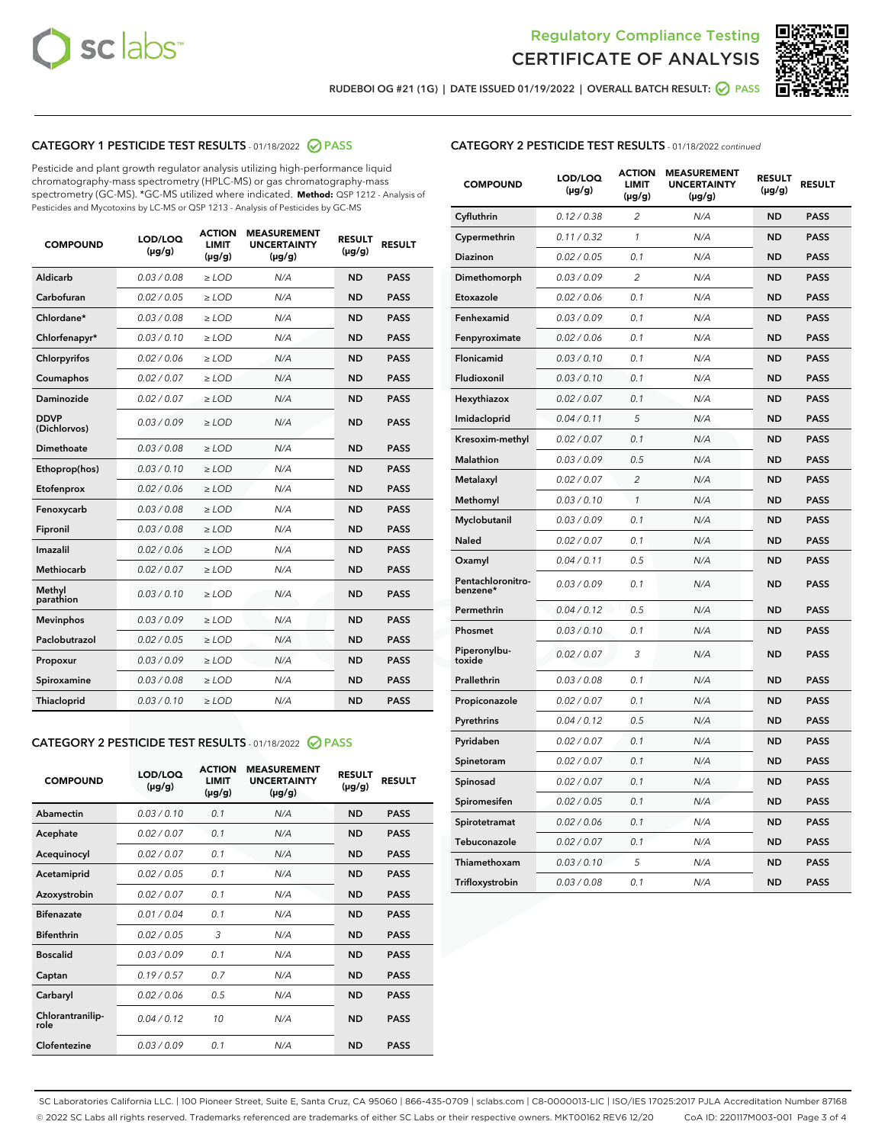



RUDEBOI OG #21 (1G) | DATE ISSUED 01/19/2022 | OVERALL BATCH RESULT:  $\bigcirc$  PASS

# CATEGORY 1 PESTICIDE TEST RESULTS - 01/18/2022 2 PASS

Pesticide and plant growth regulator analysis utilizing high-performance liquid chromatography-mass spectrometry (HPLC-MS) or gas chromatography-mass spectrometry (GC-MS). \*GC-MS utilized where indicated. **Method:** QSP 1212 - Analysis of Pesticides and Mycotoxins by LC-MS or QSP 1213 - Analysis of Pesticides by GC-MS

| <b>COMPOUND</b>             | LOD/LOQ<br>$(\mu g/g)$ | <b>ACTION</b><br><b>LIMIT</b><br>$(\mu g/g)$ | <b>MEASUREMENT</b><br><b>UNCERTAINTY</b><br>$(\mu g/g)$ | <b>RESULT</b><br>$(\mu g/g)$ | <b>RESULT</b> |
|-----------------------------|------------------------|----------------------------------------------|---------------------------------------------------------|------------------------------|---------------|
| Aldicarb                    | 0.03 / 0.08            | $\ge$ LOD                                    | N/A                                                     | <b>ND</b>                    | <b>PASS</b>   |
| Carbofuran                  | 0.02 / 0.05            | $\ge$ LOD                                    | N/A                                                     | <b>ND</b>                    | <b>PASS</b>   |
| Chlordane*                  | 0.03 / 0.08            | $\ge$ LOD                                    | N/A                                                     | <b>ND</b>                    | <b>PASS</b>   |
| Chlorfenapyr*               | 0.03/0.10              | $\ge$ LOD                                    | N/A                                                     | <b>ND</b>                    | <b>PASS</b>   |
| Chlorpyrifos                | 0.02 / 0.06            | $\ge$ LOD                                    | N/A                                                     | <b>ND</b>                    | <b>PASS</b>   |
| Coumaphos                   | 0.02 / 0.07            | $\ge$ LOD                                    | N/A                                                     | <b>ND</b>                    | <b>PASS</b>   |
| Daminozide                  | 0.02 / 0.07            | $\ge$ LOD                                    | N/A                                                     | <b>ND</b>                    | <b>PASS</b>   |
| <b>DDVP</b><br>(Dichlorvos) | 0.03/0.09              | $>$ LOD                                      | N/A                                                     | <b>ND</b>                    | <b>PASS</b>   |
| Dimethoate                  | 0.03 / 0.08            | $\ge$ LOD                                    | N/A                                                     | <b>ND</b>                    | <b>PASS</b>   |
| Ethoprop(hos)               | 0.03/0.10              | $>$ LOD                                      | N/A                                                     | <b>ND</b>                    | <b>PASS</b>   |
| Etofenprox                  | 0.02 / 0.06            | $\ge$ LOD                                    | N/A                                                     | <b>ND</b>                    | <b>PASS</b>   |
| Fenoxycarb                  | 0.03 / 0.08            | $\ge$ LOD                                    | N/A                                                     | <b>ND</b>                    | <b>PASS</b>   |
| Fipronil                    | 0.03/0.08              | $\ge$ LOD                                    | N/A                                                     | <b>ND</b>                    | <b>PASS</b>   |
| Imazalil                    | 0.02 / 0.06            | $\geq$ LOD                                   | N/A                                                     | <b>ND</b>                    | <b>PASS</b>   |
| <b>Methiocarb</b>           | 0.02 / 0.07            | $\ge$ LOD                                    | N/A                                                     | <b>ND</b>                    | <b>PASS</b>   |
| Methyl<br>parathion         | 0.03/0.10              | $\ge$ LOD                                    | N/A                                                     | <b>ND</b>                    | <b>PASS</b>   |
| <b>Mevinphos</b>            | 0.03/0.09              | $\ge$ LOD                                    | N/A                                                     | <b>ND</b>                    | <b>PASS</b>   |
| Paclobutrazol               | 0.02 / 0.05            | $>$ LOD                                      | N/A                                                     | <b>ND</b>                    | <b>PASS</b>   |
| Propoxur                    | 0.03 / 0.09            | $\ge$ LOD                                    | N/A                                                     | <b>ND</b>                    | <b>PASS</b>   |
| Spiroxamine                 | 0.03 / 0.08            | $\ge$ LOD                                    | N/A                                                     | <b>ND</b>                    | <b>PASS</b>   |
| Thiacloprid                 | 0.03/0.10              | $\ge$ LOD                                    | N/A                                                     | <b>ND</b>                    | <b>PASS</b>   |

#### CATEGORY 2 PESTICIDE TEST RESULTS - 01/18/2022 @ PASS

| <b>COMPOUND</b>          | LOD/LOO<br>$(\mu g/g)$ | <b>ACTION</b><br>LIMIT<br>$(\mu g/g)$ | <b>MEASUREMENT</b><br><b>UNCERTAINTY</b><br>$(\mu g/g)$ | <b>RESULT</b><br>$(\mu g/g)$ | <b>RESULT</b> |
|--------------------------|------------------------|---------------------------------------|---------------------------------------------------------|------------------------------|---------------|
| Abamectin                | 0.03/0.10              | 0.1                                   | N/A                                                     | <b>ND</b>                    | <b>PASS</b>   |
| Acephate                 | 0.02/0.07              | 0.1                                   | N/A                                                     | <b>ND</b>                    | <b>PASS</b>   |
| Acequinocyl              | 0.02/0.07              | 0.1                                   | N/A                                                     | <b>ND</b>                    | <b>PASS</b>   |
| Acetamiprid              | 0.02/0.05              | 0.1                                   | N/A                                                     | <b>ND</b>                    | <b>PASS</b>   |
| Azoxystrobin             | 0.02/0.07              | 0.1                                   | N/A                                                     | <b>ND</b>                    | <b>PASS</b>   |
| <b>Bifenazate</b>        | 0.01/0.04              | 0.1                                   | N/A                                                     | <b>ND</b>                    | <b>PASS</b>   |
| <b>Bifenthrin</b>        | 0.02/0.05              | 3                                     | N/A                                                     | <b>ND</b>                    | <b>PASS</b>   |
| <b>Boscalid</b>          | 0.03/0.09              | 0.1                                   | N/A                                                     | <b>ND</b>                    | <b>PASS</b>   |
| Captan                   | 0.19/0.57              | 0.7                                   | N/A                                                     | <b>ND</b>                    | <b>PASS</b>   |
| Carbaryl                 | 0.02/0.06              | 0.5                                   | N/A                                                     | <b>ND</b>                    | <b>PASS</b>   |
| Chlorantranilip-<br>role | 0.04/0.12              | 10                                    | N/A                                                     | <b>ND</b>                    | <b>PASS</b>   |
| Clofentezine             | 0.03/0.09              | 0.1                                   | N/A                                                     | <b>ND</b>                    | <b>PASS</b>   |

### CATEGORY 2 PESTICIDE TEST RESULTS - 01/18/2022 continued

| <b>COMPOUND</b>               | LOD/LOQ<br>(µg/g) | <b>ACTION</b><br><b>LIMIT</b><br>$(\mu g/g)$ | <b>MEASUREMENT</b><br><b>UNCERTAINTY</b><br>$(\mu g/g)$ | <b>RESULT</b><br>(µg/g) | <b>RESULT</b> |
|-------------------------------|-------------------|----------------------------------------------|---------------------------------------------------------|-------------------------|---------------|
| Cyfluthrin                    | 0.12 / 0.38       | $\overline{c}$                               | N/A                                                     | ND                      | <b>PASS</b>   |
| Cypermethrin                  | 0.11 / 0.32       | $\mathcal{I}$                                | N/A                                                     | ND                      | <b>PASS</b>   |
| <b>Diazinon</b>               | 0.02 / 0.05       | 0.1                                          | N/A                                                     | <b>ND</b>               | <b>PASS</b>   |
| Dimethomorph                  | 0.03 / 0.09       | 2                                            | N/A                                                     | ND                      | <b>PASS</b>   |
| Etoxazole                     | 0.02 / 0.06       | 0.1                                          | N/A                                                     | ND                      | <b>PASS</b>   |
| Fenhexamid                    | 0.03 / 0.09       | 0.1                                          | N/A                                                     | ND                      | <b>PASS</b>   |
| Fenpyroximate                 | 0.02 / 0.06       | 0.1                                          | N/A                                                     | <b>ND</b>               | <b>PASS</b>   |
| Flonicamid                    | 0.03 / 0.10       | 0.1                                          | N/A                                                     | ND                      | <b>PASS</b>   |
| Fludioxonil                   | 0.03 / 0.10       | 0.1                                          | N/A                                                     | ND                      | <b>PASS</b>   |
| Hexythiazox                   | 0.02 / 0.07       | 0.1                                          | N/A                                                     | ND                      | <b>PASS</b>   |
| Imidacloprid                  | 0.04 / 0.11       | 5                                            | N/A                                                     | ND                      | <b>PASS</b>   |
| Kresoxim-methyl               | 0.02 / 0.07       | 0.1                                          | N/A                                                     | ND                      | <b>PASS</b>   |
| Malathion                     | 0.03 / 0.09       | 0.5                                          | N/A                                                     | <b>ND</b>               | <b>PASS</b>   |
| Metalaxyl                     | 0.02 / 0.07       | $\overline{c}$                               | N/A                                                     | ND                      | <b>PASS</b>   |
| Methomyl                      | 0.03 / 0.10       | 1                                            | N/A                                                     | ND                      | <b>PASS</b>   |
| Myclobutanil                  | 0.03 / 0.09       | 0.1                                          | N/A                                                     | <b>ND</b>               | <b>PASS</b>   |
| Naled                         | 0.02 / 0.07       | 0.1                                          | N/A                                                     | ND                      | <b>PASS</b>   |
| Oxamyl                        | 0.04 / 0.11       | 0.5                                          | N/A                                                     | ND                      | <b>PASS</b>   |
| Pentachloronitro-<br>benzene* | 0.03 / 0.09       | 0.1                                          | N/A                                                     | ND                      | <b>PASS</b>   |
| Permethrin                    | 0.04 / 0.12       | 0.5                                          | N/A                                                     | ND                      | <b>PASS</b>   |
| Phosmet                       | 0.03 / 0.10       | 0.1                                          | N/A                                                     | ND                      | <b>PASS</b>   |
| Piperonylbu-<br>toxide        | 0.02 / 0.07       | 3                                            | N/A                                                     | ND                      | <b>PASS</b>   |
| Prallethrin                   | 0.03 / 0.08       | 0.1                                          | N/A                                                     | ND                      | <b>PASS</b>   |
| Propiconazole                 | 0.02 / 0.07       | 0.1                                          | N/A                                                     | ND                      | <b>PASS</b>   |
| Pyrethrins                    | 0.04 / 0.12       | 0.5                                          | N/A                                                     | ND                      | <b>PASS</b>   |
| Pyridaben                     | 0.02 / 0.07       | 0.1                                          | N/A                                                     | <b>ND</b>               | <b>PASS</b>   |
| Spinetoram                    | 0.02 / 0.07       | 0.1                                          | N/A                                                     | ND                      | <b>PASS</b>   |
| Spinosad                      | 0.02 / 0.07       | 0.1                                          | N/A                                                     | ND                      | <b>PASS</b>   |
| Spiromesifen                  | 0.02 / 0.05       | 0.1                                          | N/A                                                     | <b>ND</b>               | <b>PASS</b>   |
| Spirotetramat                 | 0.02 / 0.06       | 0.1                                          | N/A                                                     | ND                      | <b>PASS</b>   |
| Tebuconazole                  | 0.02 / 0.07       | 0.1                                          | N/A                                                     | ND                      | <b>PASS</b>   |
| Thiamethoxam                  | 0.03 / 0.10       | 5                                            | N/A                                                     | <b>ND</b>               | <b>PASS</b>   |
| Trifloxystrobin               | 0.03 / 0.08       | 0.1                                          | N/A                                                     | <b>ND</b>               | <b>PASS</b>   |

SC Laboratories California LLC. | 100 Pioneer Street, Suite E, Santa Cruz, CA 95060 | 866-435-0709 | sclabs.com | C8-0000013-LIC | ISO/IES 17025:2017 PJLA Accreditation Number 87168 © 2022 SC Labs all rights reserved. Trademarks referenced are trademarks of either SC Labs or their respective owners. MKT00162 REV6 12/20 CoA ID: 220117M003-001 Page 3 of 4